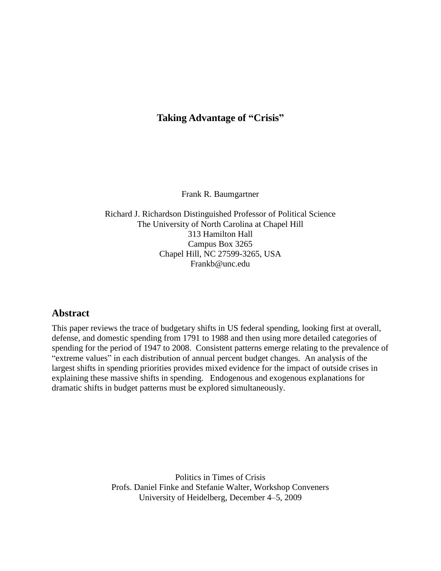## **Taking Advantage of "Crisis"**

Frank R. Baumgartner

Richard J. Richardson Distinguished Professor of Political Science The University of North Carolina at Chapel Hill 313 Hamilton Hall Campus Box 3265 Chapel Hill, NC 27599-3265, USA Frankb@unc.edu

## **Abstract**

This paper reviews the trace of budgetary shifts in US federal spending, looking first at overall, defense, and domestic spending from 1791 to 1988 and then using more detailed categories of spending for the period of 1947 to 2008. Consistent patterns emerge relating to the prevalence of "extreme values" in each distribution of annual percent budget changes. An analysis of the largest shifts in spending priorities provides mixed evidence for the impact of outside crises in explaining these massive shifts in spending. Endogenous and exogenous explanations for dramatic shifts in budget patterns must be explored simultaneously.

> Politics in Times of Crisis Profs. Daniel Finke and Stefanie Walter, Workshop Conveners University of Heidelberg, December 4–5, 2009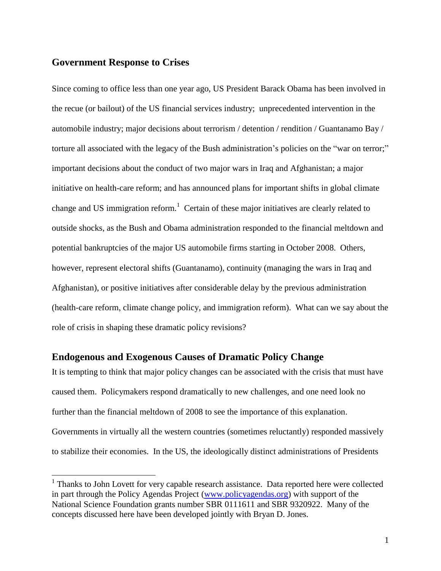#### **Government Response to Crises**

 $\overline{a}$ 

Since coming to office less than one year ago, US President Barack Obama has been involved in the recue (or bailout) of the US financial services industry; unprecedented intervention in the automobile industry; major decisions about terrorism / detention / rendition / Guantanamo Bay / torture all associated with the legacy of the Bush administration's policies on the "war on terror;" important decisions about the conduct of two major wars in Iraq and Afghanistan; a major initiative on health-care reform; and has announced plans for important shifts in global climate change and US immigration reform.<sup>1</sup> Certain of these major initiatives are clearly related to outside shocks, as the Bush and Obama administration responded to the financial meltdown and potential bankruptcies of the major US automobile firms starting in October 2008. Others, however, represent electoral shifts (Guantanamo), continuity (managing the wars in Iraq and Afghanistan), or positive initiatives after considerable delay by the previous administration (health-care reform, climate change policy, and immigration reform). What can we say about the role of crisis in shaping these dramatic policy revisions?

## **Endogenous and Exogenous Causes of Dramatic Policy Change**

It is tempting to think that major policy changes can be associated with the crisis that must have caused them. Policymakers respond dramatically to new challenges, and one need look no further than the financial meltdown of 2008 to see the importance of this explanation. Governments in virtually all the western countries (sometimes reluctantly) responded massively to stabilize their economies. In the US, the ideologically distinct administrations of Presidents

<sup>&</sup>lt;sup>1</sup> Thanks to John Lovett for very capable research assistance. Data reported here were collected in part through the Policy Agendas Project [\(www.policyagendas.org\)](http://www.policyagendas.org/) with support of the National Science Foundation grants number SBR 0111611 and SBR 9320922. Many of the concepts discussed here have been developed jointly with Bryan D. Jones.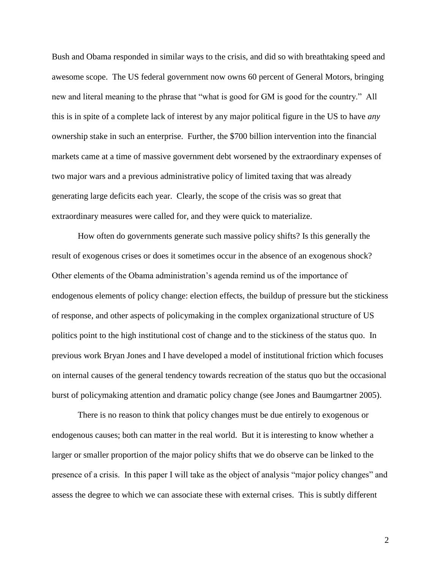Bush and Obama responded in similar ways to the crisis, and did so with breathtaking speed and awesome scope. The US federal government now owns 60 percent of General Motors, bringing new and literal meaning to the phrase that "what is good for GM is good for the country." All this is in spite of a complete lack of interest by any major political figure in the US to have *any* ownership stake in such an enterprise. Further, the \$700 billion intervention into the financial markets came at a time of massive government debt worsened by the extraordinary expenses of two major wars and a previous administrative policy of limited taxing that was already generating large deficits each year. Clearly, the scope of the crisis was so great that extraordinary measures were called for, and they were quick to materialize.

How often do governments generate such massive policy shifts? Is this generally the result of exogenous crises or does it sometimes occur in the absence of an exogenous shock? Other elements of the Obama administration's agenda remind us of the importance of endogenous elements of policy change: election effects, the buildup of pressure but the stickiness of response, and other aspects of policymaking in the complex organizational structure of US politics point to the high institutional cost of change and to the stickiness of the status quo. In previous work Bryan Jones and I have developed a model of institutional friction which focuses on internal causes of the general tendency towards recreation of the status quo but the occasional burst of policymaking attention and dramatic policy change (see Jones and Baumgartner 2005).

There is no reason to think that policy changes must be due entirely to exogenous or endogenous causes; both can matter in the real world. But it is interesting to know whether a larger or smaller proportion of the major policy shifts that we do observe can be linked to the presence of a crisis. In this paper I will take as the object of analysis "major policy changes" and assess the degree to which we can associate these with external crises. This is subtly different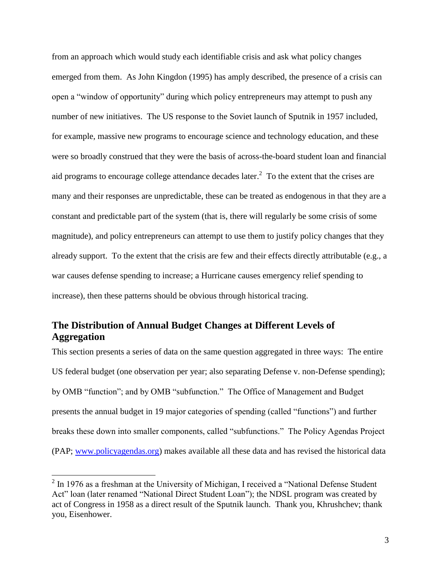from an approach which would study each identifiable crisis and ask what policy changes emerged from them. As John Kingdon (1995) has amply described, the presence of a crisis can open a "window of opportunity" during which policy entrepreneurs may attempt to push any number of new initiatives. The US response to the Soviet launch of Sputnik in 1957 included, for example, massive new programs to encourage science and technology education, and these were so broadly construed that they were the basis of across-the-board student loan and financial aid programs to encourage college attendance decades later. $<sup>2</sup>$  To the extent that the crises are</sup> many and their responses are unpredictable, these can be treated as endogenous in that they are a constant and predictable part of the system (that is, there will regularly be some crisis of some magnitude), and policy entrepreneurs can attempt to use them to justify policy changes that they already support. To the extent that the crisis are few and their effects directly attributable (e.g., a war causes defense spending to increase; a Hurricane causes emergency relief spending to increase), then these patterns should be obvious through historical tracing.

## **The Distribution of Annual Budget Changes at Different Levels of Aggregation**

This section presents a series of data on the same question aggregated in three ways: The entire US federal budget (one observation per year; also separating Defense v. non-Defense spending); by OMB "function"; and by OMB "subfunction." The Office of Management and Budget presents the annual budget in 19 major categories of spending (called "functions") and further breaks these down into smaller components, called "subfunctions." The Policy Agendas Project (PAP; [www.policyagendas.org\)](http://www.policyagendas.org/) makes available all these data and has revised the historical data

 $\overline{a}$ 

 $2 \text{ In } 1976$  as a freshman at the University of Michigan, I received a "National Defense Student" Act" loan (later renamed "National Direct Student Loan"); the NDSL program was created by act of Congress in 1958 as a direct result of the Sputnik launch. Thank you, Khrushchev; thank you, Eisenhower.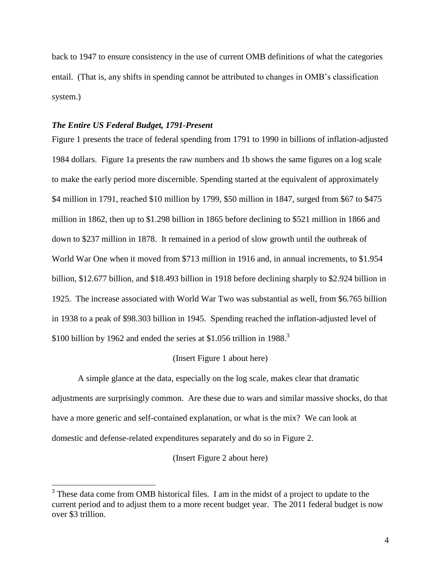back to 1947 to ensure consistency in the use of current OMB definitions of what the categories entail. (That is, any shifts in spending cannot be attributed to changes in OMB's classification system.)

#### *The Entire US Federal Budget, 1791-Present*

 $\overline{a}$ 

Figure 1 presents the trace of federal spending from 1791 to 1990 in billions of inflation-adjusted 1984 dollars. Figure 1a presents the raw numbers and 1b shows the same figures on a log scale to make the early period more discernible. Spending started at the equivalent of approximately \$4 million in 1791, reached \$10 million by 1799, \$50 million in 1847, surged from \$67 to \$475 million in 1862, then up to \$1.298 billion in 1865 before declining to \$521 million in 1866 and down to \$237 million in 1878. It remained in a period of slow growth until the outbreak of World War One when it moved from \$713 million in 1916 and, in annual increments, to \$1.954 billion, \$12.677 billion, and \$18.493 billion in 1918 before declining sharply to \$2.924 billion in 1925. The increase associated with World War Two was substantial as well, from \$6.765 billion in 1938 to a peak of \$98.303 billion in 1945. Spending reached the inflation-adjusted level of \$100 billion by 1962 and ended the series at \$1.056 trillion in 1988.<sup>3</sup>

#### (Insert Figure 1 about here)

A simple glance at the data, especially on the log scale, makes clear that dramatic adjustments are surprisingly common. Are these due to wars and similar massive shocks, do that have a more generic and self-contained explanation, or what is the mix? We can look at domestic and defense-related expenditures separately and do so in Figure 2.

#### (Insert Figure 2 about here)

 $3$  These data come from OMB historical files. I am in the midst of a project to update to the current period and to adjust them to a more recent budget year. The 2011 federal budget is now over \$3 trillion.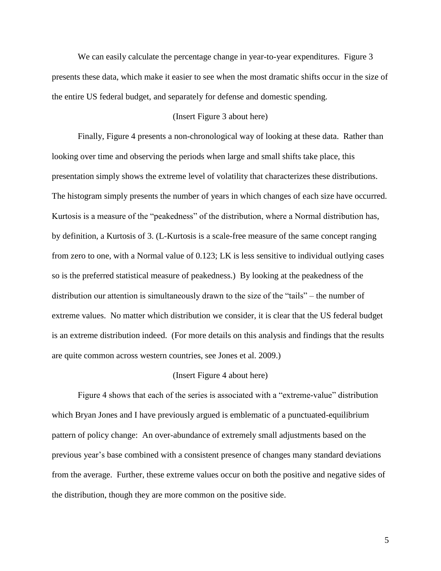We can easily calculate the percentage change in year-to-year expenditures. Figure 3 presents these data, which make it easier to see when the most dramatic shifts occur in the size of the entire US federal budget, and separately for defense and domestic spending.

#### (Insert Figure 3 about here)

Finally, Figure 4 presents a non-chronological way of looking at these data. Rather than looking over time and observing the periods when large and small shifts take place, this presentation simply shows the extreme level of volatility that characterizes these distributions. The histogram simply presents the number of years in which changes of each size have occurred. Kurtosis is a measure of the "peakedness" of the distribution, where a Normal distribution has, by definition, a Kurtosis of 3. (L-Kurtosis is a scale-free measure of the same concept ranging from zero to one, with a Normal value of 0.123; LK is less sensitive to individual outlying cases so is the preferred statistical measure of peakedness.) By looking at the peakedness of the distribution our attention is simultaneously drawn to the size of the "tails" – the number of extreme values. No matter which distribution we consider, it is clear that the US federal budget is an extreme distribution indeed. (For more details on this analysis and findings that the results are quite common across western countries, see Jones et al. 2009.)

#### (Insert Figure 4 about here)

Figure 4 shows that each of the series is associated with a "extreme-value" distribution which Bryan Jones and I have previously argued is emblematic of a punctuated-equilibrium pattern of policy change: An over-abundance of extremely small adjustments based on the previous year's base combined with a consistent presence of changes many standard deviations from the average. Further, these extreme values occur on both the positive and negative sides of the distribution, though they are more common on the positive side.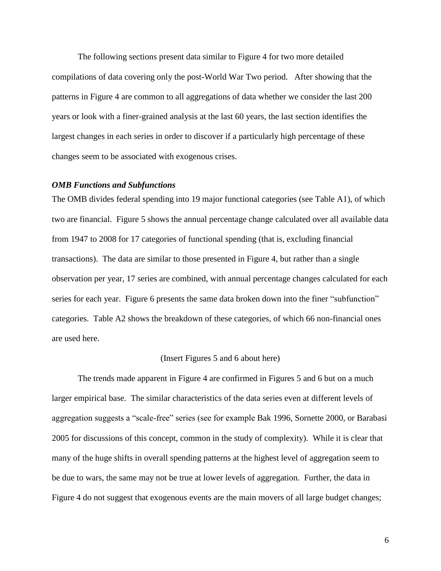The following sections present data similar to Figure 4 for two more detailed compilations of data covering only the post-World War Two period. After showing that the patterns in Figure 4 are common to all aggregations of data whether we consider the last 200 years or look with a finer-grained analysis at the last 60 years, the last section identifies the largest changes in each series in order to discover if a particularly high percentage of these changes seem to be associated with exogenous crises.

#### *OMB Functions and Subfunctions*

The OMB divides federal spending into 19 major functional categories (see Table A1), of which two are financial. Figure 5 shows the annual percentage change calculated over all available data from 1947 to 2008 for 17 categories of functional spending (that is, excluding financial transactions). The data are similar to those presented in Figure 4, but rather than a single observation per year, 17 series are combined, with annual percentage changes calculated for each series for each year. Figure 6 presents the same data broken down into the finer "subfunction" categories. Table A2 shows the breakdown of these categories, of which 66 non-financial ones are used here.

#### (Insert Figures 5 and 6 about here)

The trends made apparent in Figure 4 are confirmed in Figures 5 and 6 but on a much larger empirical base. The similar characteristics of the data series even at different levels of aggregation suggests a "scale-free" series (see for example Bak 1996, Sornette 2000, or Barabasi 2005 for discussions of this concept, common in the study of complexity). While it is clear that many of the huge shifts in overall spending patterns at the highest level of aggregation seem to be due to wars, the same may not be true at lower levels of aggregation. Further, the data in Figure 4 do not suggest that exogenous events are the main movers of all large budget changes;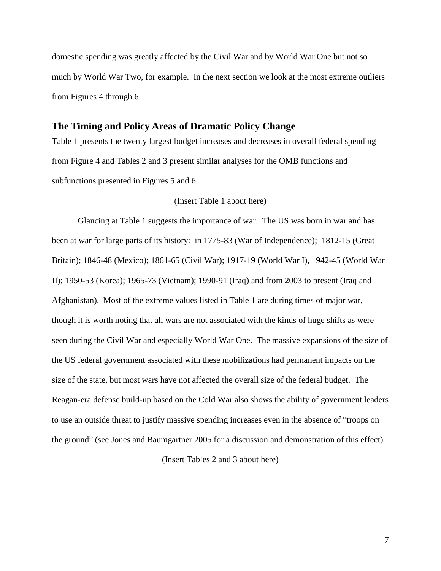domestic spending was greatly affected by the Civil War and by World War One but not so much by World War Two, for example. In the next section we look at the most extreme outliers from Figures 4 through 6.

#### **The Timing and Policy Areas of Dramatic Policy Change**

Table 1 presents the twenty largest budget increases and decreases in overall federal spending from Figure 4 and Tables 2 and 3 present similar analyses for the OMB functions and subfunctions presented in Figures 5 and 6.

#### (Insert Table 1 about here)

Glancing at Table 1 suggests the importance of war. The US was born in war and has been at war for large parts of its history: in 1775-83 (War of Independence); 1812-15 (Great Britain); 1846-48 (Mexico); 1861-65 (Civil War); 1917-19 (World War I), 1942-45 (World War II); 1950-53 (Korea); 1965-73 (Vietnam); 1990-91 (Iraq) and from 2003 to present (Iraq and Afghanistan). Most of the extreme values listed in Table 1 are during times of major war, though it is worth noting that all wars are not associated with the kinds of huge shifts as were seen during the Civil War and especially World War One. The massive expansions of the size of the US federal government associated with these mobilizations had permanent impacts on the size of the state, but most wars have not affected the overall size of the federal budget. The Reagan-era defense build-up based on the Cold War also shows the ability of government leaders to use an outside threat to justify massive spending increases even in the absence of "troops on the ground" (see Jones and Baumgartner 2005 for a discussion and demonstration of this effect).

(Insert Tables 2 and 3 about here)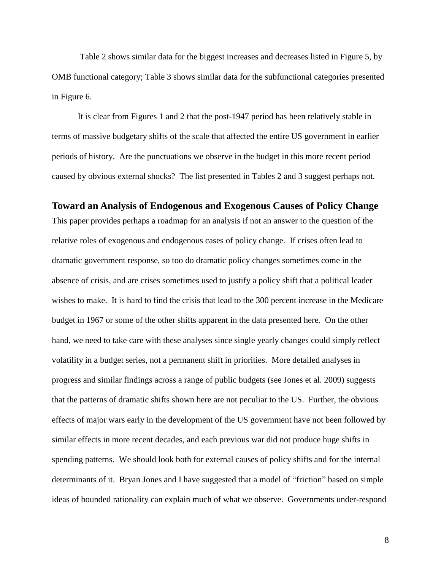Table 2 shows similar data for the biggest increases and decreases listed in Figure 5, by OMB functional category; Table 3 shows similar data for the subfunctional categories presented in Figure 6.

It is clear from Figures 1 and 2 that the post-1947 period has been relatively stable in terms of massive budgetary shifts of the scale that affected the entire US government in earlier periods of history. Are the punctuations we observe in the budget in this more recent period caused by obvious external shocks? The list presented in Tables 2 and 3 suggest perhaps not.

## **Toward an Analysis of Endogenous and Exogenous Causes of Policy Change** This paper provides perhaps a roadmap for an analysis if not an answer to the question of the

relative roles of exogenous and endogenous cases of policy change. If crises often lead to dramatic government response, so too do dramatic policy changes sometimes come in the absence of crisis, and are crises sometimes used to justify a policy shift that a political leader wishes to make. It is hard to find the crisis that lead to the 300 percent increase in the Medicare budget in 1967 or some of the other shifts apparent in the data presented here. On the other hand, we need to take care with these analyses since single yearly changes could simply reflect volatility in a budget series, not a permanent shift in priorities. More detailed analyses in progress and similar findings across a range of public budgets (see Jones et al. 2009) suggests that the patterns of dramatic shifts shown here are not peculiar to the US. Further, the obvious effects of major wars early in the development of the US government have not been followed by similar effects in more recent decades, and each previous war did not produce huge shifts in spending patterns. We should look both for external causes of policy shifts and for the internal determinants of it. Bryan Jones and I have suggested that a model of "friction" based on simple ideas of bounded rationality can explain much of what we observe. Governments under-respond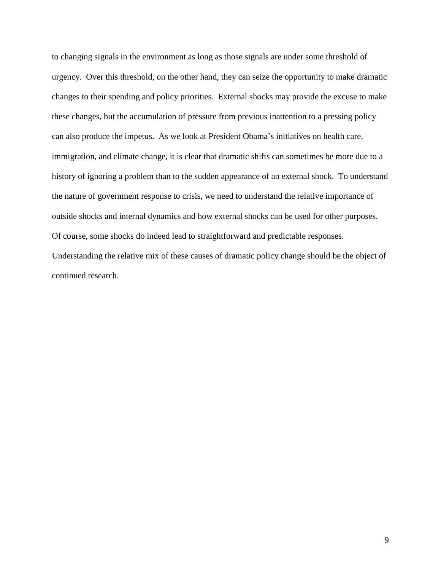to changing signals in the environment as long as those signals are under some threshold of urgency. Over this threshold, on the other hand, they can seize the opportunity to make dramatic changes to their spending and policy priorities. External shocks may provide the excuse to make these changes, but the accumulation of pressure from previous inattention to a pressing policy can also produce the impetus. As we look at President Obama's initiatives on health care, immigration, and climate change, it is clear that dramatic shifts can sometimes be more due to a history of ignoring a problem than to the sudden appearance of an external shock. To understand the nature of government response to crisis, we need to understand the relative importance of outside shocks and internal dynamics and how external shocks can be used for other purposes. Of course, some shocks do indeed lead to straightforward and predictable responses. Understanding the relative mix of these causes of dramatic policy change should be the object of continued research.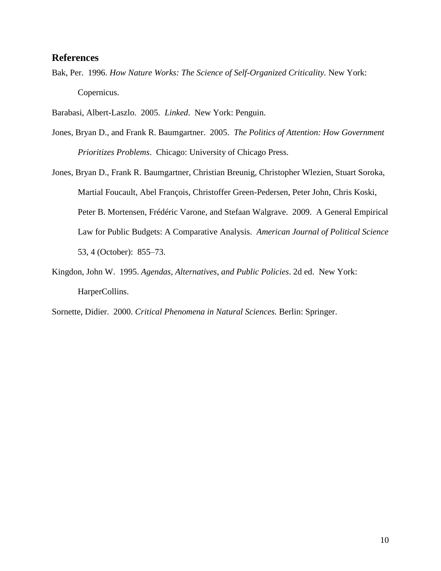## **References**

Bak, Per. 1996. *How Nature Works: The Science of Self-Organized Criticality.* New York: Copernicus.

Barabasi, Albert-Laszlo. 2005. *Linked*. New York: Penguin.

- Jones, Bryan D., and Frank R. Baumgartner. 2005. *The Politics of Attention: How Government Prioritizes Problems*. Chicago: University of Chicago Press.
- Jones, Bryan D., Frank R. Baumgartner, Christian Breunig, Christopher Wlezien, Stuart Soroka, Martial Foucault, Abel François, Christoffer Green-Pedersen, Peter John, Chris Koski, Peter B. Mortensen, Frédéric Varone, and Stefaan Walgrave. 2009. A General Empirical Law for Public Budgets: A Comparative Analysis. *American Journal of Political Science* 53, 4 (October): 855–73.
- Kingdon, John W. 1995. *Agendas*, *Alternatives, and Public Policies*. 2d ed. New York: HarperCollins.

Sornette, Didier. 2000. *Critical Phenomena in Natural Sciences.* Berlin: Springer.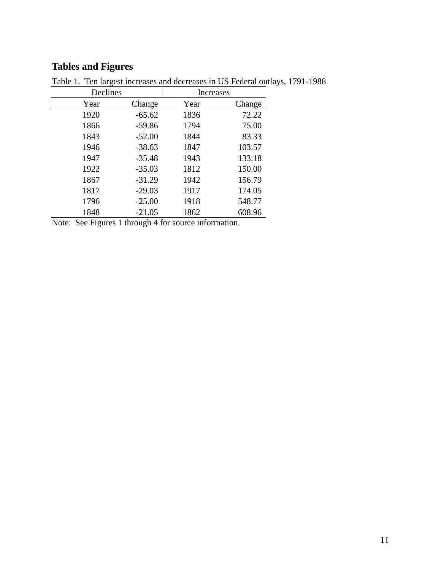## **Tables and Figures**

| Declines |          | Increases |        |
|----------|----------|-----------|--------|
| Year     | Change   | Year      | Change |
| 1920     | $-65.62$ | 1836      | 72.22  |
| 1866     | $-59.86$ | 1794      | 75.00  |
| 1843     | $-52.00$ | 1844      | 83.33  |
| 1946     | $-38.63$ | 1847      | 103.57 |
| 1947     | $-35.48$ | 1943      | 133.18 |
| 1922     | $-35.03$ | 1812      | 150.00 |
| 1867     | $-31.29$ | 1942      | 156.79 |
| 1817     | $-29.03$ | 1917      | 174.05 |
| 1796     | $-25.00$ | 1918      | 548.77 |
| 1848     | $-21.05$ | 1862      | 608.96 |

Table 1. Ten largest increases and decreases in US Federal outlays, 1791-1988

Note: See Figures 1 through 4 for source information.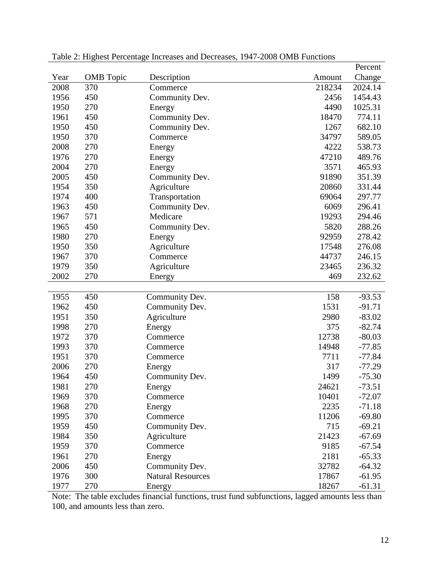|      |                  |                          |        | Percent  |
|------|------------------|--------------------------|--------|----------|
| Year | <b>OMB</b> Topic | Description              | Amount | Change   |
| 2008 | 370              | Commerce                 | 218234 | 2024.14  |
| 1956 | 450              | Community Dev.           | 2456   | 1454.43  |
| 1950 | 270              | Energy                   | 4490   | 1025.31  |
| 1961 | 450              | Community Dev.           | 18470  | 774.11   |
| 1950 | 450              | Community Dev.           | 1267   | 682.10   |
| 1950 | 370              | Commerce                 | 34797  | 589.05   |
| 2008 | 270              | Energy                   | 4222   | 538.73   |
| 1976 | 270              | Energy                   | 47210  | 489.76   |
| 2004 | 270              | Energy                   | 3571   | 465.93   |
| 2005 | 450              | Community Dev.           | 91890  | 351.39   |
| 1954 | 350              | Agriculture              | 20860  | 331.44   |
| 1974 | 400              | Transportation           | 69064  | 297.77   |
| 1963 | 450              | Community Dev.           | 6069   | 296.41   |
| 1967 | 571              | Medicare                 | 19293  | 294.46   |
| 1965 | 450              | Community Dev.           | 5820   | 288.26   |
| 1980 | 270              | Energy                   | 92959  | 278.42   |
| 1950 | 350              | Agriculture              | 17548  | 276.08   |
| 1967 | 370              | Commerce                 | 44737  | 246.15   |
| 1979 | 350              | Agriculture              | 23465  | 236.32   |
| 2002 | 270              | Energy                   | 469    | 232.62   |
|      |                  |                          |        |          |
| 1955 | 450              | Community Dev.           | 158    | $-93.53$ |
| 1962 | 450              | Community Dev.           | 1531   | $-91.71$ |
| 1951 | 350              | Agriculture              | 2980   | $-83.02$ |
| 1998 | 270              | Energy                   | 375    | $-82.74$ |
| 1972 | 370              | Commerce                 | 12738  | $-80.03$ |
| 1993 | 370              | Commerce                 | 14948  | $-77.85$ |
| 1951 | 370              | Commerce                 | 7711   | $-77.84$ |
| 2006 | 270              | Energy                   | 317    | $-77.29$ |
| 1964 | 450              | Community Dev.           | 1499   | $-75.30$ |
| 1981 | 270              | Energy                   | 24621  | $-73.51$ |
| 1969 | 370              | Commerce                 | 10401  | $-72.07$ |
| 1968 | 270              | Energy                   | 2235   | $-71.18$ |
| 1995 | 370              | Commerce                 | 11206  | $-69.80$ |
| 1959 | 450              | Community Dev.           | 715    | $-69.21$ |
| 1984 | 350              | Agriculture              | 21423  | $-67.69$ |
| 1959 | 370              | Commerce                 | 9185   | $-67.54$ |
| 1961 | 270              | Energy                   | 2181   | $-65.33$ |
| 2006 | 450              | Community Dev.           | 32782  | $-64.32$ |
| 1976 | 300              | <b>Natural Resources</b> | 17867  | $-61.95$ |
| 1977 | 270              | Energy                   | 18267  | $-61.31$ |

Table 2: Highest Percentage Increases and Decreases, 1947-2008 OMB Functions

Note: The table excludes financial functions, trust fund subfunctions, lagged amounts less than 100, and amounts less than zero.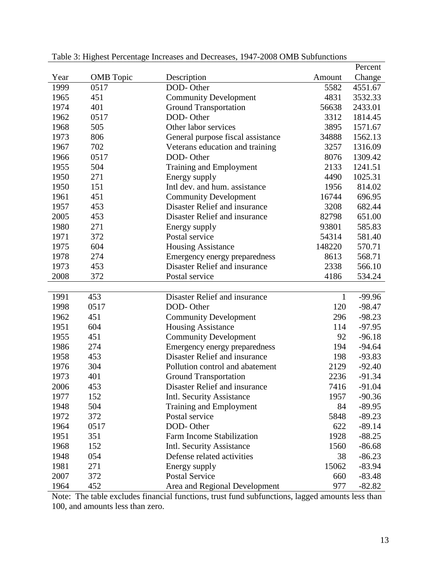|      |                  |                                   |              | Percent  |
|------|------------------|-----------------------------------|--------------|----------|
| Year | <b>OMB</b> Topic | Description                       | Amount       | Change   |
| 1999 | 0517             | DOD-Other                         | 5582         | 4551.67  |
| 1965 | 451              | <b>Community Development</b>      | 4831         | 3532.33  |
| 1974 | 401              | <b>Ground Transportation</b>      | 56638        | 2433.01  |
| 1962 | 0517             | DOD-Other                         | 3312         | 1814.45  |
| 1968 | 505              | Other labor services              | 3895         | 1571.67  |
| 1973 | 806              | General purpose fiscal assistance | 34888        | 1562.13  |
| 1967 | 702              | Veterans education and training   | 3257         | 1316.09  |
| 1966 | 0517             | DOD-Other                         | 8076         | 1309.42  |
| 1955 | 504              | <b>Training and Employment</b>    | 2133         | 1241.51  |
| 1950 | 271              | Energy supply                     | 4490         | 1025.31  |
| 1950 | 151              | Intl dev. and hum. assistance     | 1956         | 814.02   |
| 1961 | 451              | <b>Community Development</b>      | 16744        | 696.95   |
| 1957 | 453              | Disaster Relief and insurance     | 3208         | 682.44   |
| 2005 | 453              | Disaster Relief and insurance     | 82798        | 651.00   |
| 1980 | 271              | Energy supply                     | 93801        | 585.83   |
| 1971 | 372              | Postal service                    | 54314        | 581.40   |
| 1975 | 604              | <b>Housing Assistance</b>         | 148220       | 570.71   |
| 1978 | 274              | Emergency energy preparedness     | 8613         | 568.71   |
| 1973 | 453              | Disaster Relief and insurance     | 2338         | 566.10   |
| 2008 | 372              | Postal service                    | 4186         | 534.24   |
|      |                  |                                   |              |          |
| 1991 | 453              | Disaster Relief and insurance     | $\mathbf{1}$ | $-99.96$ |
| 1998 | 0517             | DOD-Other                         | 120          | $-98.47$ |
| 1962 | 451              | <b>Community Development</b>      | 296          | $-98.23$ |
| 1951 | 604              | <b>Housing Assistance</b>         | 114          | $-97.95$ |
| 1955 | 451              | <b>Community Development</b>      | 92           | $-96.18$ |
| 1986 | 274              | Emergency energy preparedness     | 194          | $-94.64$ |
| 1958 | 453              | Disaster Relief and insurance     | 198          | $-93.83$ |
| 1976 | 304              | Pollution control and abatement   | 2129         | $-92.40$ |
| 1973 | 401              | <b>Ground Transportation</b>      | 2236         | $-91.34$ |
| 2006 | 453              | Disaster Relief and insurance     | 7416         | $-91.04$ |
| 1977 | 152              | Intl. Security Assistance         | 1957         | $-90.36$ |
| 1948 | 504              | <b>Training and Employment</b>    | 84           | $-89.95$ |
| 1972 | 372              | Postal service                    | 5848         | $-89.23$ |
| 1964 | 0517             | DOD-Other                         | 622          | $-89.14$ |
| 1951 | 351              | Farm Income Stabilization         | 1928         | $-88.25$ |
| 1968 | 152              | <b>Intl. Security Assistance</b>  | 1560         | $-86.68$ |
| 1948 | 054              | Defense related activities        | 38           | $-86.23$ |
| 1981 | 271              | Energy supply                     | 15062        | $-83.94$ |
| 2007 | 372              | <b>Postal Service</b>             | 660          | $-83.48$ |
| 1964 | 452              | Area and Regional Development     | 977          | $-82.82$ |

Table 3: Highest Percentage Increases and Decreases, 1947-2008 OMB Subfunctions

Note: The table excludes financial functions, trust fund subfunctions, lagged amounts less than 100, and amounts less than zero.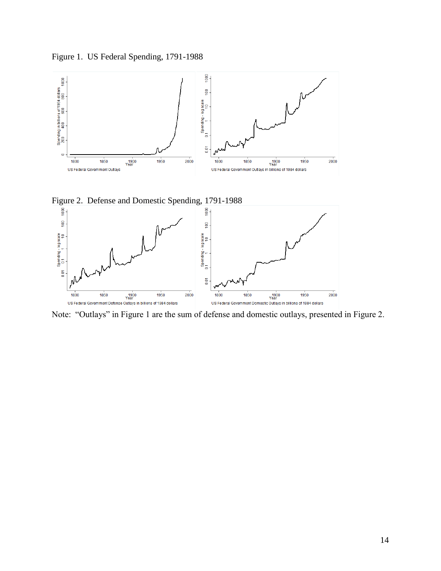Figure 1. US Federal Spending, 1791-1988







Note: "Outlays" in Figure 1 are the sum of defense and domestic outlays, presented in Figure 2.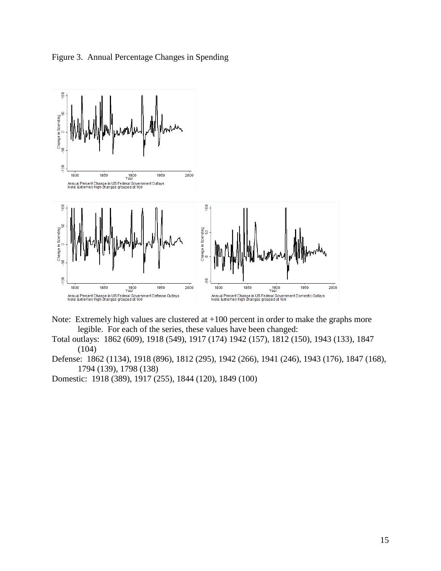



- Note: Extremely high values are clustered at +100 percent in order to make the graphs more legible. For each of the series, these values have been changed:
- Total outlays: 1862 (609), 1918 (549), 1917 (174) 1942 (157), 1812 (150), 1943 (133), 1847 (104)
- Defense: 1862 (1134), 1918 (896), 1812 (295), 1942 (266), 1941 (246), 1943 (176), 1847 (168), 1794 (139), 1798 (138)

Domestic: 1918 (389), 1917 (255), 1844 (120), 1849 (100)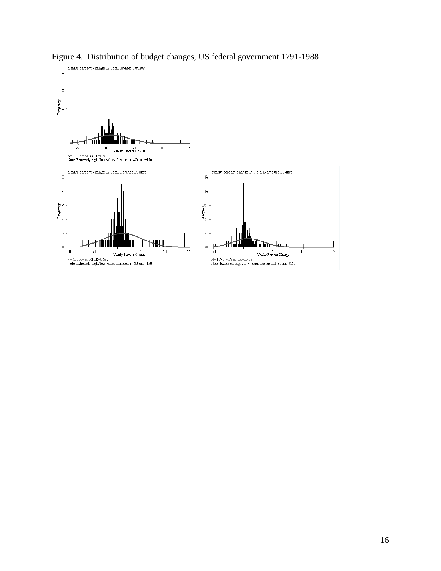

Figure 4. Distribution of budget changes, US federal government 1791-1988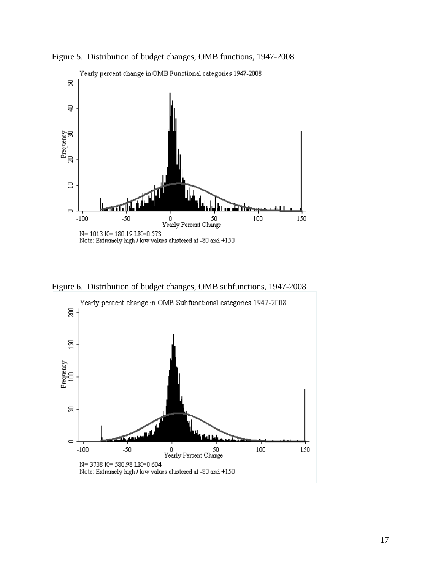



Figure 6. Distribution of budget changes, OMB subfunctions, 1947-2008

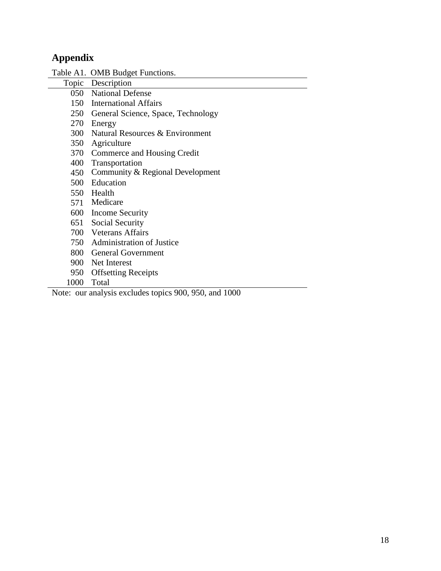# **Appendix**

|      | Table A1. OMB Budget Functions.        |
|------|----------------------------------------|
|      | Topic Description                      |
|      | 050 National Defense                   |
|      | 150 International Affairs              |
|      | 250 General Science, Space, Technology |
|      | 270 Energy                             |
|      | 300 Natural Resources & Environment    |
|      | 350 Agriculture                        |
|      | 370 Commerce and Housing Credit        |
|      | 400 Transportation                     |
| 450  | Community & Regional Development       |
|      | 500 Education                          |
|      | 550 Health                             |
|      | 571 Medicare                           |
|      | 600 Income Security                    |
|      | 651 Social Security                    |
|      | 700 Veterans Affairs                   |
|      | 750 Administration of Justice          |
|      | 800 General Government                 |
|      | 900 Net Interest                       |
| 950  | <b>Offsetting Receipts</b>             |
| 1000 | Total                                  |

Note: our analysis excludes topics 900, 950, and 1000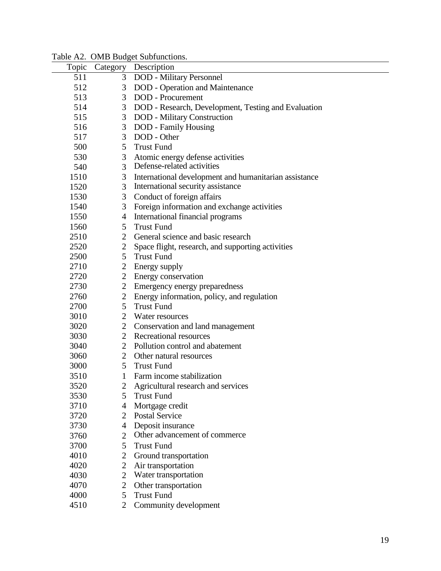| Topic | Category       | Description                                           |
|-------|----------------|-------------------------------------------------------|
| 511   | 3              | DOD - Military Personnel                              |
| 512   | 3              | <b>DOD</b> - Operation and Maintenance                |
| 513   | 3              | <b>DOD</b> - Procurement                              |
| 514   | 3              | DOD - Research, Development, Testing and Evaluation   |
| 515   | 3              | <b>DOD</b> - Military Construction                    |
| 516   | $\mathfrak{Z}$ | <b>DOD</b> - Family Housing                           |
| 517   | 3              | DOD - Other                                           |
| 500   | 5              | <b>Trust Fund</b>                                     |
| 530   | 3              | Atomic energy defense activities                      |
| 540   | $\overline{3}$ | Defense-related activities                            |
| 1510  | 3              | International development and humanitarian assistance |
| 1520  | 3              | International security assistance                     |
| 1530  | 3              | Conduct of foreign affairs                            |
| 1540  | 3              | Foreign information and exchange activities           |
| 1550  | $\overline{4}$ | International financial programs                      |
| 1560  | 5              | <b>Trust Fund</b>                                     |
| 2510  | $\overline{2}$ | General science and basic research                    |
| 2520  | $\overline{2}$ | Space flight, research, and supporting activities     |
| 2500  | 5              | <b>Trust Fund</b>                                     |
| 2710  | $\overline{2}$ | Energy supply                                         |
| 2720  | $\overline{2}$ | Energy conservation                                   |
| 2730  | $\overline{2}$ | Emergency energy preparedness                         |
| 2760  | $\overline{2}$ | Energy information, policy, and regulation            |
| 2700  | 5              | <b>Trust Fund</b>                                     |
| 3010  | $\overline{2}$ | Water resources                                       |
| 3020  | $\overline{2}$ | Conservation and land management                      |
| 3030  | $\overline{2}$ | Recreational resources                                |
| 3040  | 2              | Pollution control and abatement                       |
| 3060  | $\overline{2}$ | Other natural resources                               |
| 3000  | 5              | <b>Trust Fund</b>                                     |
| 3510  | $\mathbf{1}$   | Farm income stabilization                             |
| 3520  |                | 2 Agricultural research and services                  |
| 3530  | 5              | <b>Trust Fund</b>                                     |
| 3710  | 4              | Mortgage credit                                       |
| 3720  | $\overline{2}$ | <b>Postal Service</b>                                 |
| 3730  | 4              | Deposit insurance                                     |
| 3760  | $\overline{2}$ | Other advancement of commerce                         |
| 3700  | 5              | <b>Trust Fund</b>                                     |
| 4010  | $\mathbf{2}$   | Ground transportation                                 |
| 4020  | $\mathbf{2}$   | Air transportation                                    |
| 4030  | $\overline{2}$ | Water transportation                                  |
| 4070  | $\mathbf{2}$   | Other transportation                                  |
| 4000  | 5              | <b>Trust Fund</b>                                     |
| 4510  | $\overline{2}$ | Community development                                 |
|       |                |                                                       |

Table A2. OMB Budget Subfunctions.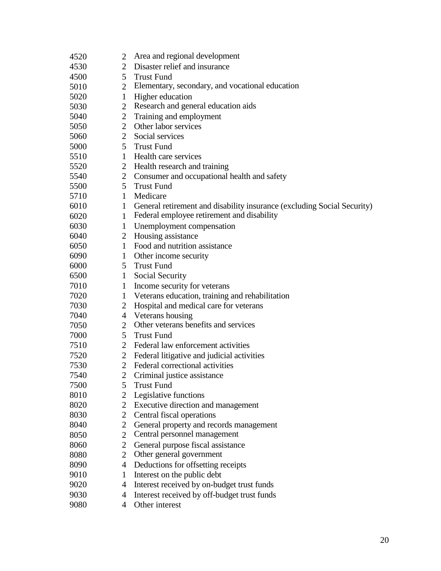| 4520 | 2              | Area and regional development                                           |
|------|----------------|-------------------------------------------------------------------------|
| 4530 | $\overline{2}$ | Disaster relief and insurance                                           |
| 4500 | $5^{\circ}$    | <b>Trust Fund</b>                                                       |
| 5010 | $\overline{2}$ | Elementary, secondary, and vocational education                         |
| 5020 | $\mathbf{1}$   | Higher education                                                        |
| 5030 | $\overline{2}$ | Research and general education aids                                     |
| 5040 | 2              | Training and employment                                                 |
| 5050 | $\overline{2}$ | Other labor services                                                    |
| 5060 | $\overline{2}$ | Social services                                                         |
| 5000 | $5^{\circ}$    | <b>Trust Fund</b>                                                       |
| 5510 | 1              | Health care services                                                    |
| 5520 | $\overline{2}$ | Health research and training                                            |
| 5540 | $\overline{2}$ | Consumer and occupational health and safety                             |
| 5500 | 5              | <b>Trust Fund</b>                                                       |
| 5710 | $\mathbf{1}$   | Medicare                                                                |
| 6010 | $\mathbf{1}$   | General retirement and disability insurance (excluding Social Security) |
| 6020 | 1              | Federal employee retirement and disability                              |
| 6030 | $\mathbf{1}$   | Unemployment compensation                                               |
| 6040 | $\overline{2}$ | Housing assistance                                                      |
| 6050 | $\mathbf{1}$   | Food and nutrition assistance                                           |
| 6090 | $\mathbf{1}$   | Other income security                                                   |
| 6000 | 5 <sup>1</sup> | <b>Trust Fund</b>                                                       |
| 6500 | $\mathbf{1}$   | Social Security                                                         |
| 7010 | $\mathbf{1}$   | Income security for veterans                                            |
| 7020 | $\mathbf{1}$   | Veterans education, training and rehabilitation                         |
| 7030 | 2              | Hospital and medical care for veterans                                  |
| 7040 | $\overline{4}$ | Veterans housing                                                        |
| 7050 | $\overline{2}$ | Other veterans benefits and services                                    |
| 7000 | $5^{\circ}$    | <b>Trust Fund</b>                                                       |
| 7510 | 2              | Federal law enforcement activities                                      |
| 7520 | 2              | Federal litigative and judicial activities                              |
| 7530 | $\overline{2}$ | Federal correctional activities                                         |
| 7540 |                | 2 Criminal justice assistance                                           |
| 7500 | 5              | <b>Trust Fund</b>                                                       |
| 8010 | 2              | Legislative functions                                                   |
| 8020 | $\overline{2}$ | Executive direction and management                                      |
| 8030 | $\overline{2}$ | Central fiscal operations                                               |
| 8040 | $\overline{2}$ | General property and records management                                 |
| 8050 | $\overline{2}$ | Central personnel management                                            |
| 8060 | 2              | General purpose fiscal assistance                                       |
| 8080 | $\overline{2}$ | Other general government                                                |
| 8090 | 4              | Deductions for offsetting receipts                                      |
| 9010 | 1              | Interest on the public debt                                             |
| 9020 | 4              | Interest received by on-budget trust funds                              |
| 9030 | 4              | Interest received by off-budget trust funds                             |
| 9080 | 4              | Other interest                                                          |